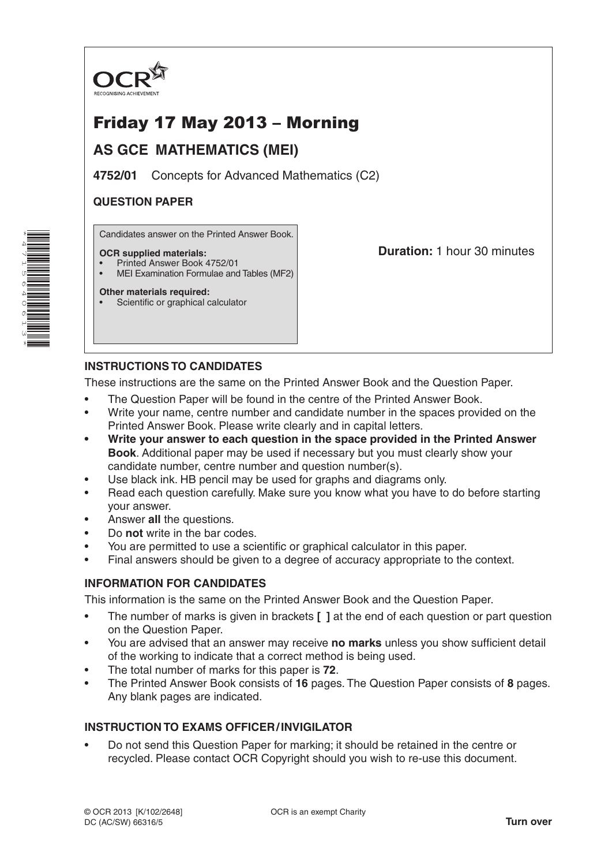

# Friday 17 May 2013 – Morning

# **AS GCE MATHEMATICS (MEI)**

**4752/01** Concepts for Advanced Mathematics (C2)

# **QUESTION PAPER**

Candidates answer on the Printed Answer Book.

#### **OCR supplied materials:**

- Printed Answer Book 4752/01
- MEI Examination Formulae and Tables (MF2)

**Other materials required:** Scientific or graphical calculator **Duration:** 1 hour 30 minutes

# **INSTRUCTIONS TO CANDIDATES**

These instructions are the same on the Printed Answer Book and the Question Paper.

- The Question Paper will be found in the centre of the Printed Answer Book.
- Write your name, centre number and candidate number in the spaces provided on the Printed Answer Book. Please write clearly and in capital letters.
- **• Write your answer to each question in the space provided in the Printed Answer Book**. Additional paper may be used if necessary but you must clearly show your candidate number, centre number and question number(s).
- Use black ink. HB pencil may be used for graphs and diagrams only.
- Read each question carefully. Make sure you know what you have to do before starting your answer.
- Answer **all** the questions.
- Do **not** write in the bar codes.
- You are permitted to use a scientific or graphical calculator in this paper.
- Final answers should be given to a degree of accuracy appropriate to the context.

## **INFORMATION FOR CANDIDATES**

This information is the same on the Printed Answer Book and the Question Paper.

- The number of marks is given in brackets **[ ]** at the end of each question or part question on the Question Paper.
- You are advised that an answer may receive **no marks** unless you show sufficient detail of the working to indicate that a correct method is being used.
- The total number of marks for this paper is **72**.
- The Printed Answer Book consists of **16** pages. The Question Paper consists of **8** pages. Any blank pages are indicated.

## **INSTRUCTION TO EXAMS OFFICER/INVIGILATOR**

• Do not send this Question Paper for marking; it should be retained in the centre or recycled. Please contact OCR Copyright should you wish to re-use this document.

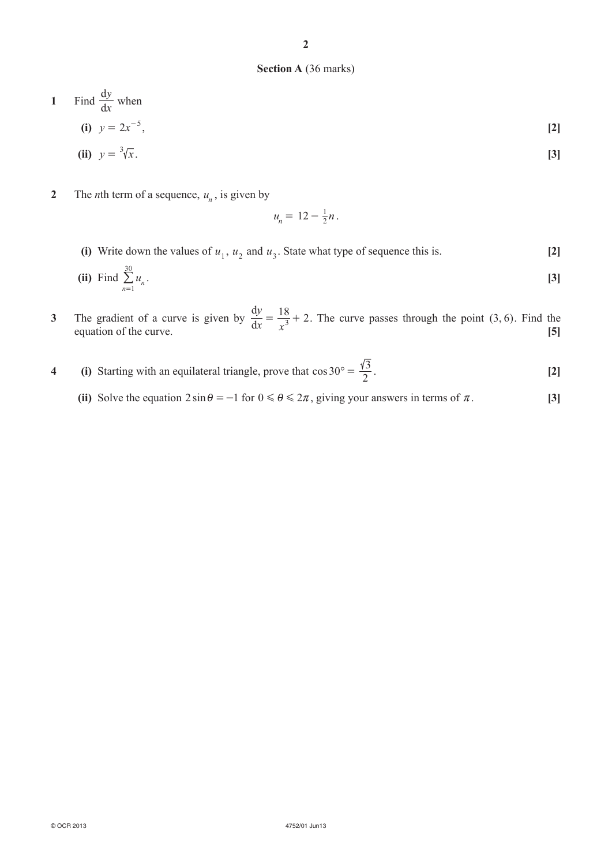#### **Section A** (36 marks)

1 Find 
$$
\frac{dy}{dx}
$$
 when  
\n(i)  $y = 2x^{-5}$ , [2]  
\n(ii)  $y = \sqrt[3]{x}$ . [3]

**2** The *n*th term of a sequence,  $u_n$ , is given by

$$
u_n = 12 - \frac{1}{2}n.
$$

(i) Write down the values of  $u_1$ ,  $u_2$  and  $u_3$ . State what type of sequence this is. **[2]** 

(ii) Find 
$$
\sum_{n=1}^{30} u_n
$$
. [3]

- **3** The gradient of a curve is given by  $\frac{dy}{dx}$  $\frac{dy}{dx} = \frac{18}{x^3} + 2$ . The curve passes through the point (3, 6). Find the equation of the curve.  $\begin{bmatrix} 5 \end{bmatrix}$
- **4 (i)** Starting with an equilateral triangle, prove that  $\cos 30^\circ = \frac{\sqrt{3}}{2}$ . [2]
	- (ii) Solve the equation  $2 \sin \theta = -1$  for  $0 \le \theta \le 2\pi$ , giving your answers in terms of  $\pi$ . [3]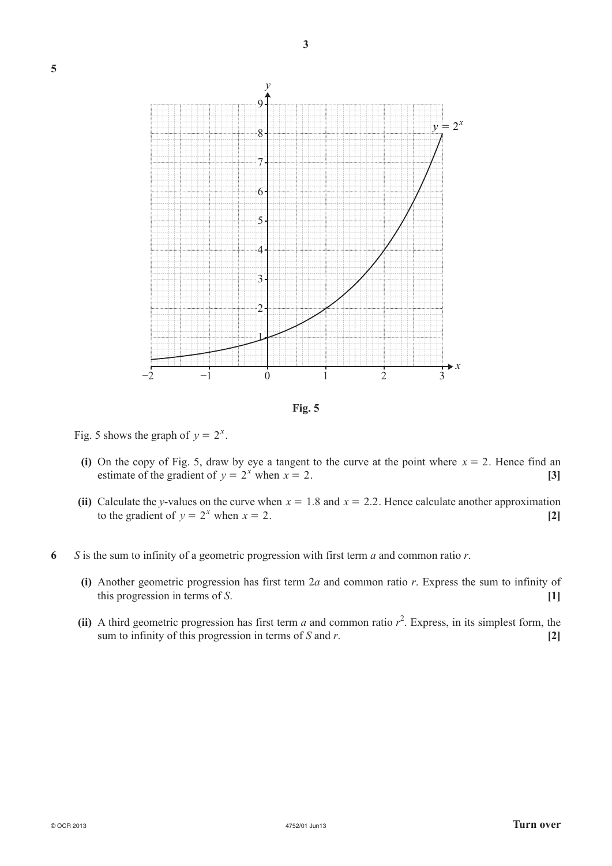

**Fig. 5**

Fig. 5 shows the graph of  $y = 2^x$ .

- (i) On the copy of Fig. 5, draw by eye a tangent to the curve at the point where  $x = 2$ . Hence find an estimate of the gradient of  $y = 2^x$  when  $x = 2$ . [3]
- (ii) Calculate the *y*-values on the curve when  $x = 1.8$  and  $x = 2.2$ . Hence calculate another approximation to the gradient of  $y = 2^x$  when  $x = 2$ . [2]
- **6** *S* is the sum to infinity of a geometric progression with first term *a* and common ratio *r*.
	- **(i)** Another geometric progression has first term 2*a* and common ratio *r*. Express the sum to infinity of this progression in terms of *S*. **[1]**
	- (ii) A third geometric progression has first term *a* and common ratio  $r^2$ . Express, in its simplest form, the sum to infinity of this progression in terms of *S* and *r*. **[2]**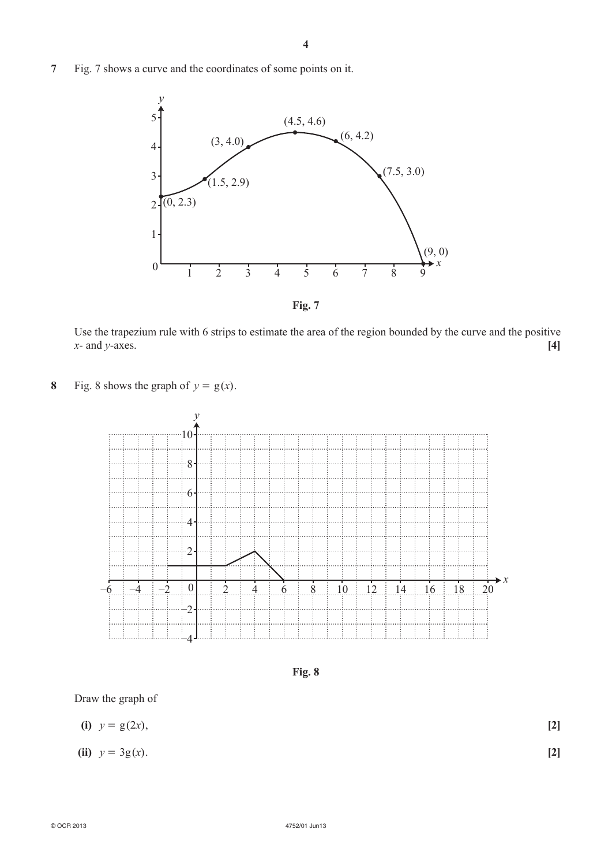**7** Fig. 7 shows a curve and the coordinates of some points on it.



Use the trapezium rule with 6 strips to estimate the area of the region bounded by the curve and the positive *x*- and *y*-axes. **[4]**

**8** Fig. 8 shows the graph of  $y = g(x)$ .



**Fig. 8**

Draw the graph of

| (i) $y = g(2x)$ , |  | $[2]$ |
|-------------------|--|-------|
|                   |  |       |

**(ii)**  $y = 3g(x)$ . **[2]**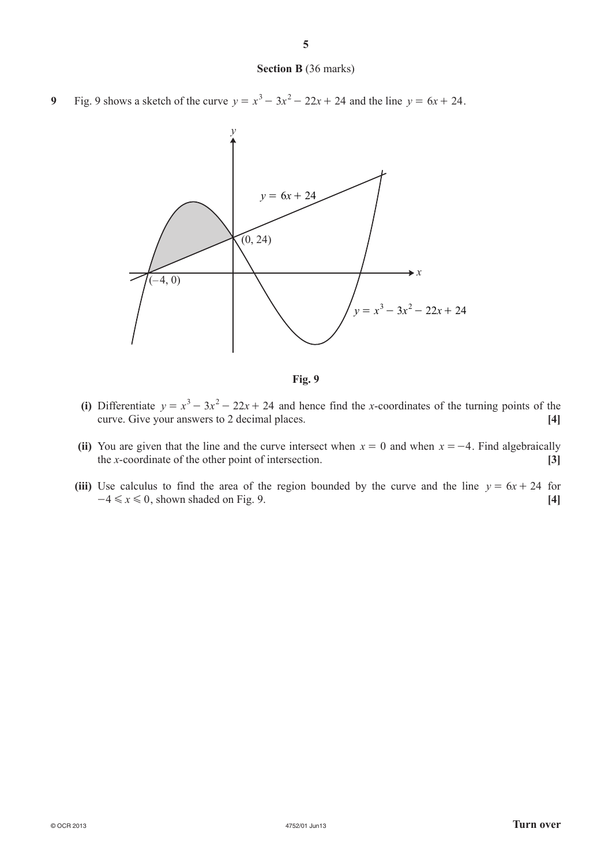#### **Section B** (36 marks)

**9** Fig. 9 shows a sketch of the curve  $y = x^3 - 3x^2 - 22x + 24$  and the line  $y = 6x + 24$ .



**Fig. 9**

- (i) Differentiate  $y = x^3 3x^2 22x + 24$  and hence find the *x*-coordinates of the turning points of the curve. Give your answers to 2 decimal places. **[4]**
- (ii) You are given that the line and the curve intersect when  $x = 0$  and when  $x = -4$ . Find algebraically the *x*-coordinate of the other point of intersection. **[3]**
- (iii) Use calculus to find the area of the region bounded by the curve and the line  $y = 6x + 24$  for  $-4 \le x \le 0$ , shown shaded on Fig. 9. **[4]**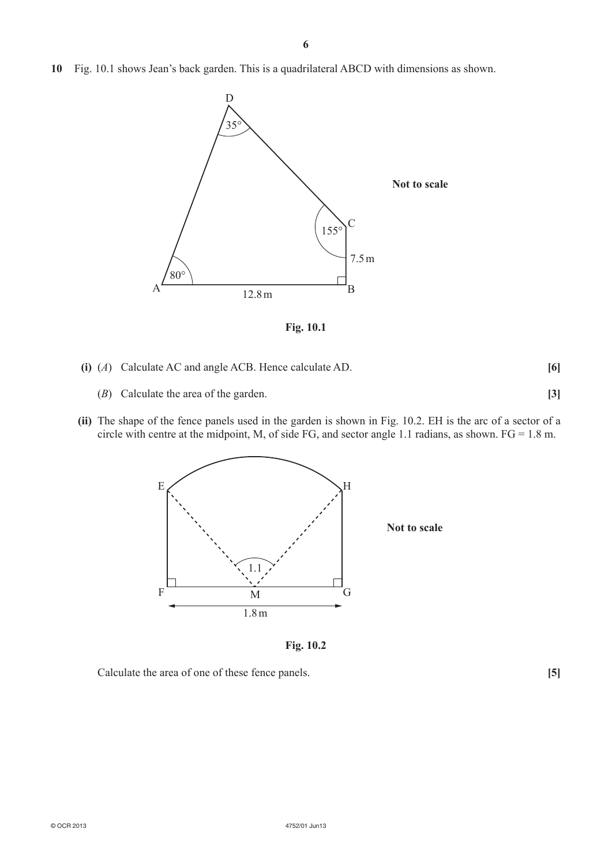**10** Fig. 10.1 shows Jean's back garden. This is a quadrilateral ABCD with dimensions as shown.



**Fig. 10.1**

- **(i)** (*A*) Calculate AC and angle ACB. Hence calculate AD. **[6]**
	- (*B*) Calculate the area of the garden. **[3]**
- **(ii)** The shape of the fence panels used in the garden is shown in Fig. 10.2. EH is the arc of a sector of a circle with centre at the midpoint, M, of side FG, and sector angle 1.1 radians, as shown. FG = 1.8 m.



**Fig. 10.2**

Calculate the area of one of these fence panels. **[5]**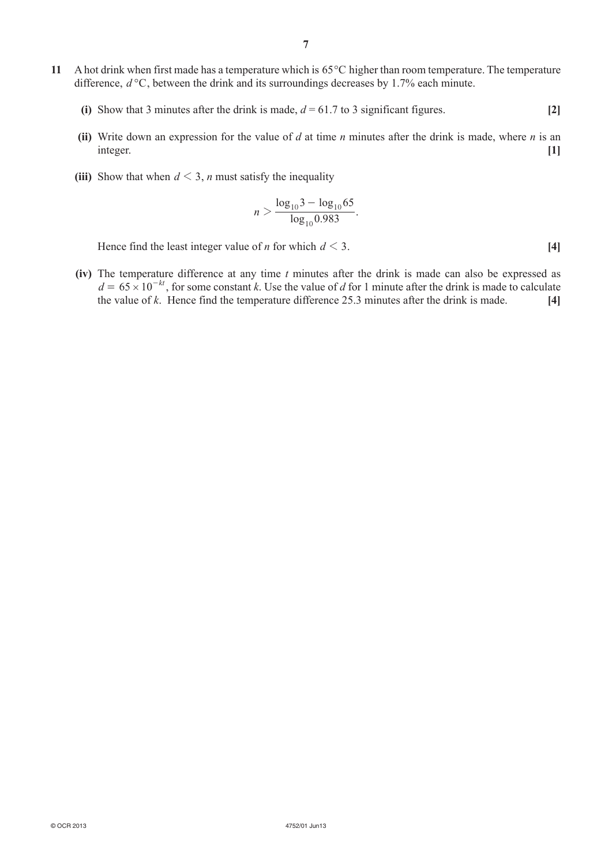- **11** A hot drink when first made has a temperature which is 65°C higher than room temperature. The temperature difference, *d* °C, between the drink and its surroundings decreases by 1.7% each minute.
	- (i) Show that 3 minutes after the drink is made,  $d = 61.7$  to 3 significant figures. [2]
	- **(ii)** Write down an expression for the value of *d* at time *n* minutes after the drink is made, where *n* is an integer. **[1]**
	- (iii) Show that when  $d \leq 3$ , *n* must satisfy the inequality

$$
n > \frac{\log_{10} 3 - \log_{10} 65}{\log_{10} 0.983}.
$$

Hence find the least integer value of *n* for which  $d \leq 3$ . [4]

**(iv)** The temperature difference at any time *t* minutes after the drink is made can also be expressed as  $d = 65 \times 10^{-kt}$ , for some constant *k*. Use the value of *d* for 1 minute after the drink is made to calculate the value of *k*. Hence find the temperature difference 25.3 minutes after the drink is made. **[4]**